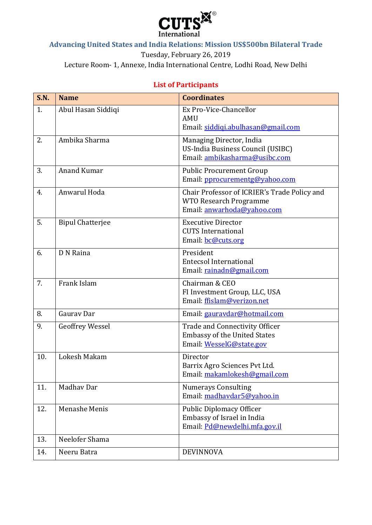

### **Advancing United States and India Relations: Mission US\$500bn Bilateral Trade**

Tuesday, February 26, 2019

Lecture Room- 1, Annexe, India International Centre, Lodhi Road, New Delhi

## **S.N. Name Coordinates** 1. Abul Hasan Siddiqi Ex Pro-Vice-Chancellor AMU Email: [siddiqi.abulhasan@gmail.com](mailto:siddiqi.abulhasan@gmail.com) 2. Ambika Sharma Managing Director, India US-India Business Council (USIBC) Email: [ambikasharma@usibc.com](mailto:ambikasharma@usibc.com) 3. Anand Kumar **Public Procurement Group** Email: [pprocurementg@yahoo.com](mailto:pprocurementg@yahoo.com) 4. Anwarul Hoda Chair Professor of ICRIER's Trade Policy and WTO Research Programme Email: [anwarhoda@yahoo.com](mailto:anwarhoda@yahoo.com) 5. Bipul Chatteriee Executive Director CUTS International Email: [bc@cuts.org](mailto:bc@cuts.org) 6. D N Raina President Entecsol International Email: [rainadn@gmail.com](mailto:rainadn@gmail.com) 7. Frank Islam Chairman & CEO FI Investment Group, LLC, USA Email: [ffislam@verizon.net](mailto:ffislam@verizon.net) 8. Gauray Dar **Email:** gauray dar **Email:** gauray dar **Email:** gauray dar **Email:** com 9. Geoffrey Wessel Trade and Connectivity Officer Embassy of the United States Email: [WesselG@state.gov](mailto:WesselG@state.gov) 10. Lokesh Makam Director Barrix Agro Sciences Pvt Ltd. Email: [makamlokesh@gmail.com](mailto:makamlokesh@gmail.com) 11. | Madhav Dar Numerays Consulting Email: [madhavdar5@yahoo.in](mailto:madhavdar5@yahoo.in) 12. Menashe Menis Public Diplomacy Officer Embassy of Israel in India Email: [Pd@newdelhi.mfa.gov.il](mailto:Pd@newdelhi.mfa.gov.il) 13. Neelofer Shama 14. Neeru Batra DEVINNOVA

### **List of Participants**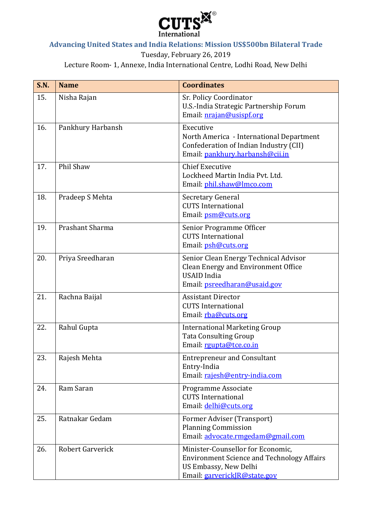

# **Advancing United States and India Relations: Mission US\$500bn Bilateral Trade**

Tuesday, February 26, 2019

Lecture Room- 1, Annexe, India International Centre, Lodhi Road, New Delhi

| <b>S.N.</b> | <b>Name</b>             | <b>Coordinates</b>                                                                                                                              |
|-------------|-------------------------|-------------------------------------------------------------------------------------------------------------------------------------------------|
| 15.         | Nisha Rajan             | Sr. Policy Coordinator<br>U.S.-India Strategic Partnership Forum<br>Email: nrajan@usispf.org                                                    |
| 16.         | Pankhury Harbansh       | Executive<br>North America - International Department<br>Confederation of Indian Industry (CII)<br>Email: pankhury.harbansh@cii.in              |
| 17.         | Phil Shaw               | <b>Chief Executive</b><br>Lockheed Martin India Pvt. Ltd.<br>Email: phil.shaw@lmco.com                                                          |
| 18.         | Pradeep S Mehta         | Secretary General<br><b>CUTS</b> International<br>Email: psm@cuts.org                                                                           |
| 19.         | Prashant Sharma         | Senior Programme Officer<br><b>CUTS International</b><br>Email: psh@cuts.org                                                                    |
| 20.         | Priya Sreedharan        | Senior Clean Energy Technical Advisor<br><b>Clean Energy and Environment Office</b><br><b>USAID</b> India<br>Email: psreedharan@usaid.gov       |
| 21.         | Rachna Baijal           | <b>Assistant Director</b><br><b>CUTS</b> International<br>Email: rba@cuts.org                                                                   |
| 22.         | Rahul Gupta             | <b>International Marketing Group</b><br><b>Tata Consulting Group</b><br>Email: rgupta@tce.co.in                                                 |
| 23.         | Rajesh Mehta            | <b>Entrepreneur and Consultant</b><br>Entry-India<br>Email: rajesh@entry-india.com                                                              |
| 24.         | Ram Saran               | Programme Associate<br><b>CUTS</b> International<br>Email: delhi@cuts.org                                                                       |
| 25.         | Ratnakar Gedam          | Former Adviser (Transport)<br><b>Planning Commission</b><br>Email: advocate.rmgedam@gmail.com                                                   |
| 26.         | <b>Robert Garverick</b> | Minister-Counsellor for Economic,<br><b>Environment Science and Technology Affairs</b><br>US Embassy, New Delhi<br>Email: garverickJR@state.gov |